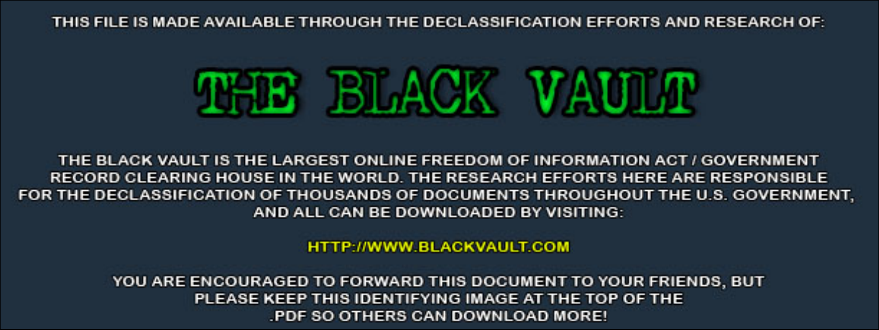THIS FILE IS MADE AVAILABLE THROUGH THE DECLASSIFICATION EFFORTS AND RESEARCH OF:



THE BLACK VAULT IS THE LARGEST ONLINE FREEDOM OF INFORMATION ACT / GOVERNMENT RECORD CLEARING HOUSE IN THE WORLD. THE RESEARCH EFFORTS HERE ARE RESPONSIBLE FOR THE DECLASSIFICATION OF THOUSANDS OF DOCUMENTS THROUGHOUT THE U.S. GOVERNMENT, AND ALL CAN BE DOWNLOADED BY VISITING:

**HTTP://WWW.BLACKVAULT.COM** 

YOU ARE ENCOURAGED TO FORWARD THIS DOCUMENT TO YOUR FRIENDS, BUT PLEASE KEEP THIS IDENTIFYING IMAGE AT THE TOP OF THE PDF SO OTHERS CAN DOWNLOAD MORE!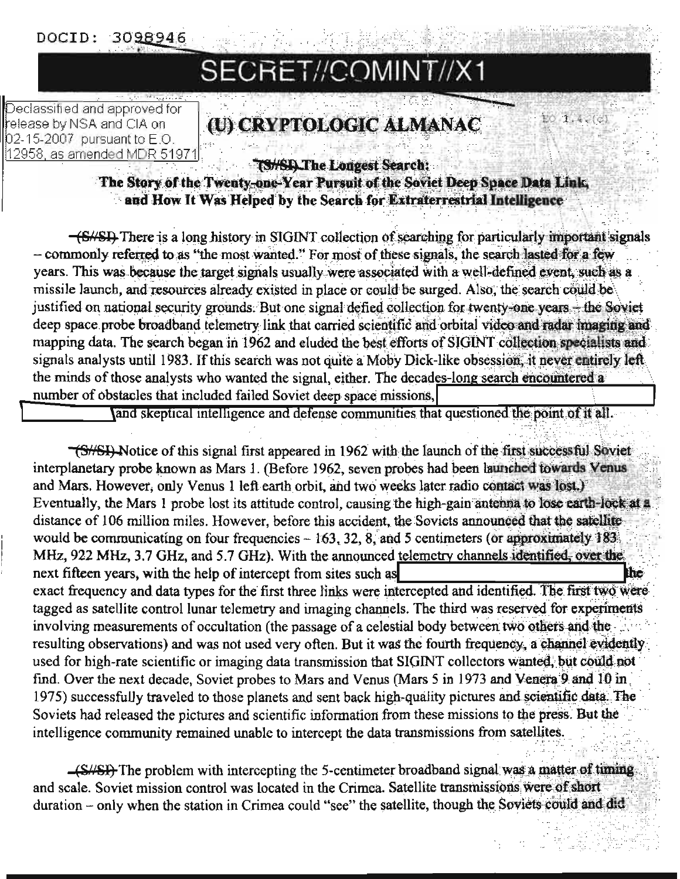DOCID: 3098946

# SECRET//COMINT//X1

Declassified and approved for release by NSA and CIA on 02-15-2007 pursuant to E.O. 12958, as amended MDR 51971

## (U) CRYPTOLOGIC ALMANAC

EO 1.4.(c)

**IS/SD The Longest Search:** 

The Story of the Twenty-one-Year Pursuit of the Soviet Deep Space Data Link. and How It Was Helped by the Search for Extraterrestrial Intelligence

-(S//SI) There is a long history in SIGINT collection of searching for particularly important signals - commonly referred to as "the most wanted." For most of these signals, the search lasted for a few years. This was because the target signals usually were associated with a well-defined event, such as a missile launch, and resources already existed in place or could be surged. Also, the search could be justified on national security grounds. But one signal defied collection for twenty-one years - the Soviet deep space probe broadband telemetry link that carried scientific and orbital video and radar imaging and mapping data. The search began in 1962 and eluded the best efforts of SIGINT collection specialists and signals analysts until 1983. If this search was not quite a Moby Dick-like obsession, it never entirely left the minds of those analysts who wanted the signal, either. The decades-long search encountered a number of obstacles that included failed Soviet deep space missions,

and skeptical intelligence and defense communities that questioned the point of it all.

<del>(S//SI)</del> Notice of this signal first appeared in 1962 with the launch of the first successful Servet interplanetary probe known as Mars 1. (Before 1962, seven probes had been launched towards Venus and Mars. However, only Venus 1 left earth orbit, and two weeks later radio contact was lost.) Eventually, the Mars 1 probe lost its attitude control, causing the high-gain antenna to lose earth-lock at a distance of 106 million miles. However, before this accident, the Soviets announced that the satellite would be communicating on four frequencies  $-163$ , 32, 8, and 5 centimeters (or approximately 183) MHz, 922 MHz, 3.7 GHz, and 5.7 GHz). With the announced telemetry channels identified, over the next fifteen years, with the help of intercept from sites such as the exact frequency and data types for the first three links were intercepted and identified. The first two were tagged as satellite control lunar telemetry and imaging channels. The third was reserved for experiments involving measurements of occultation (the passage of a celestial body between two others and the resulting observations) and was not used very often. But it was the fourth frequency, a channel evidently used for high-rate scientific or imaging data transmission that SIGINT collectors wanted, but could not find. Over the next decade, Soviet probes to Mars and Venus (Mars 5 in 1973 and Venera 9 and 10 in) 1975) successfully traveled to those planets and sent back high-quality pictures and scientific data. The Soviets had released the pictures and scientific information from these missions to the press. But the intelligence community remained unable to intercept the data transmissions from satellites.

(S//SI) The problem with intercepting the 5-centimeter broadband signal was a matter of timing and scale. Soviet mission control was located in the Crimea. Satellite transmissions were of short duration - only when the station in Crimea could "see" the satellite, though the Soviets could and did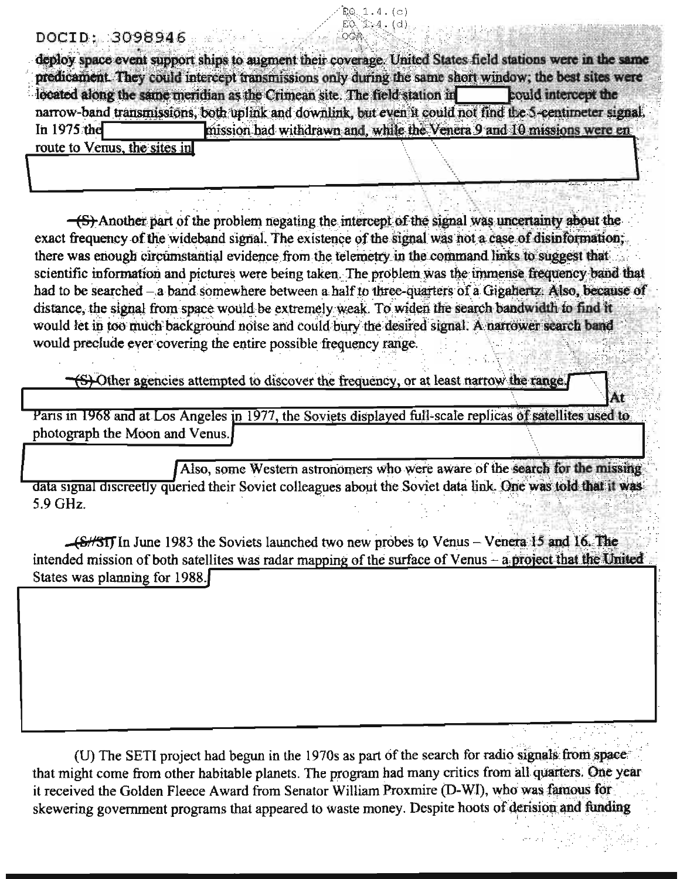### DOCID: 3098946

deploy space event support ships to augment their coverage. United States field stations were in the same predicament. They could intercept transmissions only during the same short window; the best sites were located along the same meridian as the Crimean site. The field station in **Louid intercent the** narrow-band transmissions, both uplink and downlink, but even it could not find the 5-centimeter signal, In 1975 the mission had withdrawn and, while the Venera 9 and 10 missions were en route to Venus, the sites in

ŔО.

 $1.4.(c)$  $1.4.$  (d)

 $\leftarrow$  Another part of the problem negating the intercept of the signal was uncertainty about the exact frequency of the wideband signal. The existence of the signal was not a case of disinformation; there was enough circumstantial evidence from the telemetry in the command links to suggest that scientific information and pictures were being taken. The problem was the immense frequency band that had to be searched - a band somewhere between a half to three-quarters of a Gigahertz: Also, because of distance, the signal from space would be extremely weak. To widen the search bandwidth to find it would let in too much background noise and could bury the desired signal. A narrower search band would preclude ever covering the entire possible frequency range.

(S) Other agencies attempted to discover the frequency, or at least narrow the range.

Paris in 1968 and at Los Angeles in 1977, the Soviets displayed full-scale replicas of satellites used to photograph the Moon and Venus.

Also, some Western astronomers who were aware of the search for the missing data signal discreetly queried their Soviet colleagues about the Soviet data link. One was told that it was 5.9 GHz.

(S/ST) In June 1983 the Soviets launched two new probes to Venus - Venera 15 and 16. The intended mission of both satellites was radar mapping of the surface of Venus - a project that the United States was planning for 1988.

(U) The SETI project had begun in the 1970s as part of the search for radio signals from space that might come from other habitable planets. The program had many critics from all quarters. One year it received the Golden Fleece Award from Senator William Proxmire (D-WI), who was famous for skewering government programs that appeared to waste money. Despite hoots of derision and funding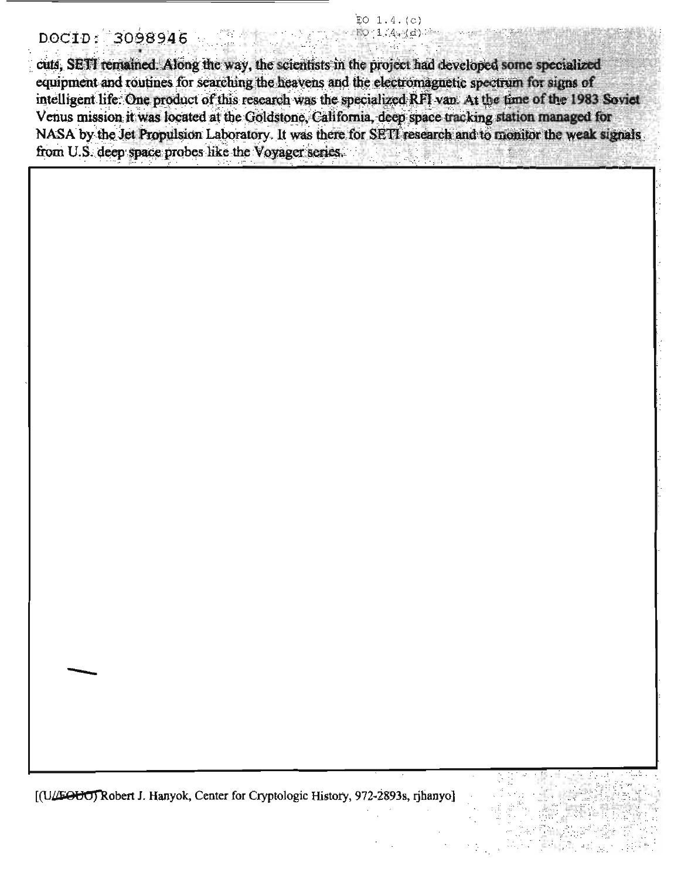#### $EO$  1.4. $(c)$  $-150.1.44(d)$

### DOCID: 3098946

cuts, SETI remained. Along the way, the scientists in the project had developed some specialized equipment and routines for searching the heavens and the electromagnetic spectrum for signs of intelligent life. One product of this research was the specialized RFI van. At the time of the 1983 Soviet Venus mission it was located at the Goldstone, California, deep space tracking station managed for NASA by the Jet Propulsion Laboratory. It was there for SETT research and to monitor the weak signals from U.S. deep space probes like the Voyager series.

[(U/FOUO) Robert J. Hanyok, Center for Cryptologic History, 972-2893s, rihanyo]